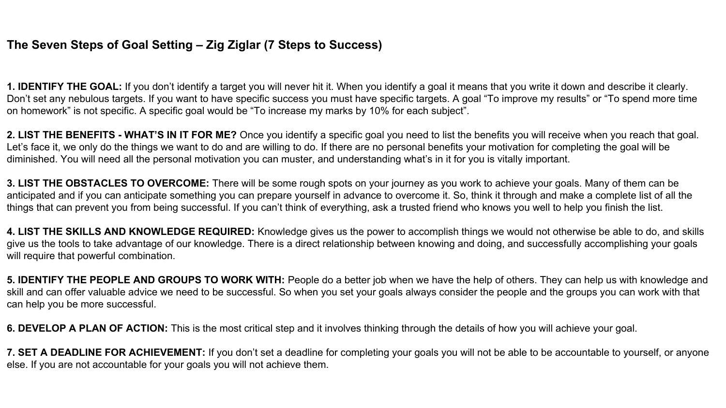## **The Seven Steps of Goal Setting – Zig Ziglar (7 Steps to Success)**

**1. IDENTIFY THE GOAL:** If you don't identify a target you will never hit it. When you identify a goal it means that you write it down and describe it clearly. Don't set any nebulous targets. If you want to have specific success you must have specific targets. A goal "To improve my results" or "To spend more time on homework" is not specific. A specific goal would be "To increase my marks by 10% for each subject".

**2. LIST THE BENEFITS - WHAT'S IN IT FOR ME?** Once you identify a specific goal you need to list the benefits you will receive when you reach that goal. Let's face it, we only do the things we want to do and are willing to do. If there are no personal benefits your motivation for completing the goal will be diminished. You will need all the personal motivation you can muster, and understanding what's in it for you is vitally important.

**3. LIST THE OBSTACLES TO OVERCOME:** There will be some rough spots on your journey as you work to achieve your goals. Many of them can be anticipated and if you can anticipate something you can prepare yourself in advance to overcome it. So, think it through and make a complete list of all the things that can prevent you from being successful. If you can't think of everything, ask a trusted friend who knows you well to help you finish the list.

**4. LIST THE SKILLS AND KNOWLEDGE REQUIRED:** Knowledge gives us the power to accomplish things we would not otherwise be able to do, and skills give us the tools to take advantage of our knowledge. There is a direct relationship between knowing and doing, and successfully accomplishing your goals will require that powerful combination.

**5. IDENTIFY THE PEOPLE AND GROUPS TO WORK WITH:** People do a better job when we have the help of others. They can help us with knowledge and skill and can offer valuable advice we need to be successful. So when you set your goals always consider the people and the groups you can work with that can help you be more successful.

**6. DEVELOP A PLAN OF ACTION:** This is the most critical step and it involves thinking through the details of how you will achieve your goal.

**7. SET A DEADLINE FOR ACHIEVEMENT:** If you don't set a deadline for completing your goals you will not be able to be accountable to yourself, or anyone else. If you are not accountable for your goals you will not achieve them.